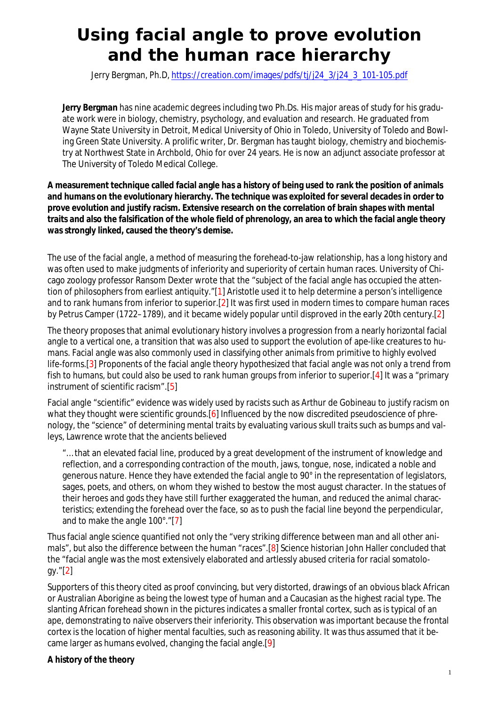# **Using facial angle to prove evolution and the human race hierarchy**

Jerry Bergman, Ph.D, https://creation.com/images/pdfs/tj/j24\_3/j24\_3\_101-105.pdf

**Jerry Bergman** has nine academic degrees including two Ph.Ds. His major areas of study for his graduate work were in biology, chemistry, psychology, and evaluation and research. He graduated from Wayne State University in Detroit, Medical University of Ohio in Toledo, University of Toledo and Bowling Green State University. A prolific writer, Dr. Bergman has taught biology, chemistry and biochemistry at Northwest State in Archbold, Ohio for over 24 years. He is now an adjunct associate professor at The University of Toledo Medical College.

**A measurement technique called facial angle has a history of being used to rank the position of animals and humans on the evolutionary hierarchy. The technique was exploited for several decades in order to prove evolution and justify racism. Extensive research on the correlation of brain shapes with mental traits and also the falsification of the whole field of phrenology, an area to which the facial angle theory was strongly linked, caused the theory's demise.**

The use of the facial angle, a method of measuring the forehead-to-jaw relationship, has a long history and was often used to make judgments of inferiority and superiority of certain human races. University of Chicago zoology professor Ransom Dexter wrote that the "subject of the facial angle has occupied the attention of philosophers from earliest antiquity."[1] Aristotle used it to help determine a person's intelligence and to rank humans from inferior to superior.[2] It was first used in modern times to compare human races by Petrus Camper (1722–1789), and it became widely popular until disproved in the early 20th century.[2]

The theory proposes that animal evolutionary history involves a progression from a nearly horizontal facial angle to a vertical one, a transition that was also used to support the evolution of ape-like creatures to humans. Facial angle was also commonly used in classifying other animals from primitive to highly evolved life-forms.[3] Proponents of the facial angle theory hypothesized that facial angle was not only a trend from fish to humans, but could also be used to rank human groups from inferior to superior.[4] It was a "primary instrument of scientific racism".[5]

Facial angle "scientific" evidence was widely used by racists such as Arthur de Gobineau to justify racism on what they thought were scientific grounds. [6] Influenced by the now discredited pseudoscience of phrenology, the "science" of determining mental traits by evaluating various skull traits such as bumps and valleys, Lawrence wrote that the ancients believed

"… that an elevated facial line, produced by a great development of the instrument of knowledge and reflection, and a corresponding contraction of the mouth, jaws, tongue, nose, indicated a noble and generous nature. Hence they have extended the facial angle to 90° in the representation of legislators, sages, poets, and others, on whom they wished to bestow the most august character. In the statues of their heroes and gods they have still further exaggerated the human, and reduced the animal characteristics; extending the forehead over the face, so as to push the facial line beyond the perpendicular, and to make the angle 100°."[7]

Thus facial angle science quantified not only the "very striking difference between man and all other animals", but also the difference between the human "races".[8] Science historian John Haller concluded that the "facial angle was the most extensively elaborated and artlessly abused criteria for racial somatology."[2]

Supporters of this theory cited as proof convincing, but very distorted, drawings of an obvious black African or Australian Aborigine as being the lowest type of human and a Caucasian as the highest racial type. The slanting African forehead shown in the pictures indicates a smaller frontal cortex, such as is typical of an ape, demonstrating to naïve observers their inferiority. This observation was important because the frontal cortex is the location of higher mental faculties, such as reasoning ability. It was thus assumed that it became larger as humans evolved, changing the facial angle.[9]

## **A history of the theory**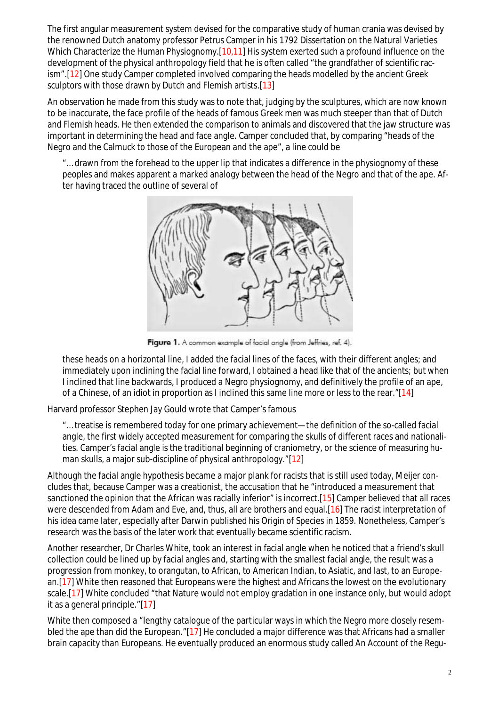The first angular measurement system devised for the comparative study of human crania was devised by the renowned Dutch anatomy professor Petrus Camper in his 1792 Dissertation on the Natural Varieties Which Characterize the Human Physiognomy.[10,11] His system exerted such a profound influence on the development of the physical anthropology field that he is often called "the grandfather of scientific racism".[12] One study Camper completed involved comparing the heads modelled by the ancient Greek sculptors with those drawn by Dutch and Flemish artists.[13]

An observation he made from this study was to note that, judging by the sculptures, which are now known to be inaccurate, the face profile of the heads of famous Greek men was much steeper than that of Dutch and Flemish heads. He then extended the comparison to animals and discovered that the jaw structure was important in determining the head and face angle. Camper concluded that, by comparing "heads of the Negro and the Calmuck to those of the European and the ape", a line could be

"… drawn from the forehead to the upper lip that indicates a difference in the physiognomy of these peoples and makes apparent a marked analogy between the head of the Negro and that of the ape. After having traced the outline of several of



Figure 1. A common example of facial angle (from Jeffries, ref. 4).

these heads on a horizontal line, I added the facial lines of the faces, with their different angles; and immediately upon inclining the facial line forward, I obtained a head like that of the ancients; but when I inclined that line backwards, I produced a Negro physiognomy, and definitively the profile of an ape, of a Chinese, of an idiot in proportion as I inclined this same line more or less to the rear."[14]

Harvard professor Stephen Jay Gould wrote that Camper's famous

"… treatise is remembered today for one primary achievement—the definition of the so-called facial angle, the first widely accepted measurement for comparing the skulls of different races and nationalities. Camper's facial angle is the traditional beginning of craniometry, or the science of measuring human skulls, a major sub-discipline of physical anthropology."[12]

Although the facial angle hypothesis became a major plank for racists that is still used today, Meijer concludes that, because Camper was a creationist, the accusation that he "introduced a measurement that sanctioned the opinion that the African was racially inferior" is incorrect.[15] Camper believed that all races were descended from Adam and Eve, and, thus, all are brothers and equal.[16] The racist interpretation of his idea came later, especially after Darwin published his Origin of Species in 1859. Nonetheless, Camper's research was the basis of the later work that eventually became scientific racism.

Another researcher, Dr Charles White, took an interest in facial angle when he noticed that a friend's skull collection could be lined up by facial angles and, starting with the smallest facial angle, the result was a progression from monkey, to orangutan, to African, to American Indian, to Asiatic, and last, to an European.[17] White then reasoned that Europeans were the highest and Africans the lowest on the evolutionary scale.[17] White concluded "that Nature would not employ gradation in one instance only, but would adopt it as a general principle."[17]

White then composed a "lengthy catalogue of the particular ways in which the Negro more closely resembled the ape than did the European."[17] He concluded a major difference was that Africans had a smaller brain capacity than Europeans. He eventually produced an enormous study called An Account of the Regu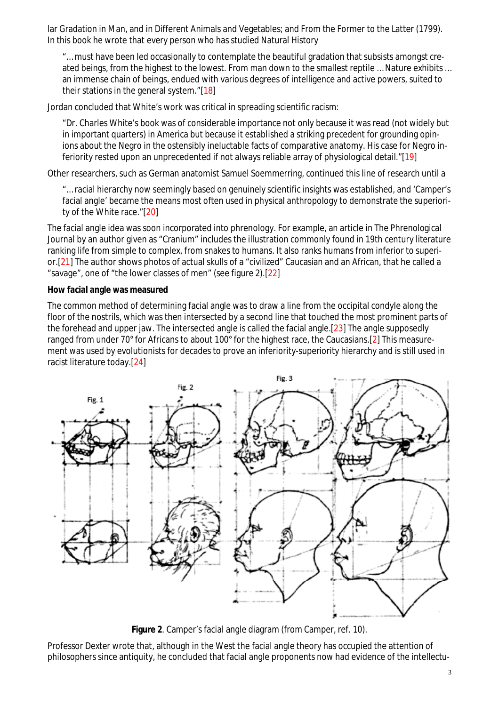lar Gradation in Man, and in Different Animals and Vegetables; and From the Former to the Latter (1799). In this book he wrote that every person who has studied Natural History

"… must have been led occasionally to contemplate the beautiful gradation that subsists amongst created beings, from the highest to the lowest. From man down to the smallest reptile … Nature exhibits … an immense chain of beings, endued with various degrees of intelligence and active powers, suited to their stations in the general system."[18]

Jordan concluded that White's work was critical in spreading scientific racism:

"Dr. Charles White's book was of considerable importance not only because it was read (not widely but in important quarters) in America but because it established a striking precedent for grounding opinions about the Negro in the ostensibly ineluctable facts of comparative anatomy. His case for Negro inferiority rested upon an unprecedented if not always reliable array of physiological detail."[19]

Other researchers, such as German anatomist Samuel Soemmerring, continued this line of research until a

"… racial hierarchy now seemingly based on genuinely scientific insights was established, and 'Camper's facial angle' became the means most often used in physical anthropology to demonstrate the superiority of the White race."[20]

The facial angle idea was soon incorporated into phrenology. For example, an article in The Phrenological Journal by an author given as "Cranium" includes the illustration commonly found in 19th century literature ranking life from simple to complex, from snakes to humans. It also ranks humans from inferior to superior.[21] The author shows photos of actual skulls of a "civilized" Caucasian and an African, that he called a "savage", one of "the lower classes of men" (see figure 2).[22]

#### **How facial angle was measured**

The common method of determining facial angle was to draw a line from the occipital condyle along the floor of the nostrils, which was then intersected by a second line that touched the most prominent parts of the forehead and upper jaw. The intersected angle is called the facial angle.[23] The angle supposedly ranged from under 70° for Africans to about 100° for the highest race, the Caucasians.[2] This measurement was used by evolutionists for decades to prove an inferiority-superiority hierarchy and is still used in racist literature today.[24]



**Figure 2**. Camper's facial angle diagram (from Camper, ref. 10).

Professor Dexter wrote that, although in the West the facial angle theory has occupied the attention of philosophers since antiquity, he concluded that facial angle proponents now had evidence of the intellectu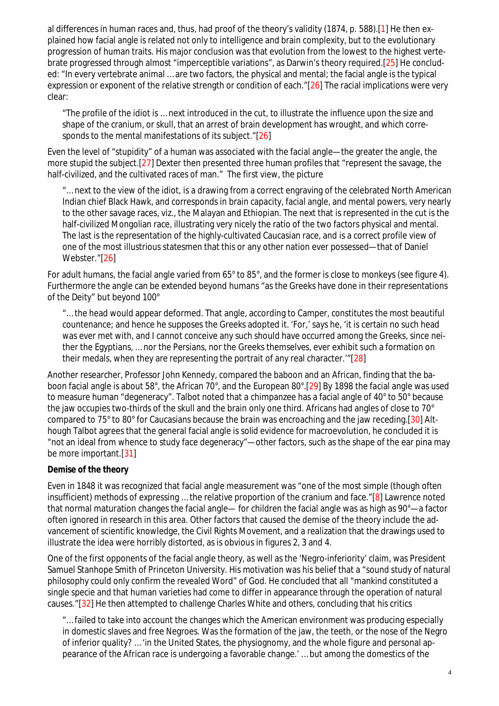al differences in human races and, thus, had proof of the theory's validity (1874, p. 588).[1] He then explained how facial angle is related not only to intelligence and brain complexity, but to the evolutionary progression of human traits. His major conclusion was that evolution from the lowest to the highest vertebrate progressed through almost "imperceptible variations", as Darwin's theory required.[25] He concluded: "In every vertebrate animal … are two factors, the physical and mental; the facial angle is the typical expression or exponent of the relative strength or condition of each."[26] The racial implications were very clear:

"The profile of the idiot is … next introduced in the cut, to illustrate the influence upon the size and shape of the cranium, or skull, that an arrest of brain development has wrought, and which corresponds to the mental manifestations of its subject."[26]

Even the level of "stupidity" of a human was associated with the facial angle—the greater the angle, the more stupid the subject.[27] Dexter then presented three human profiles that "represent the savage, the half-civilized, and the cultivated races of man." The first view, the picture

"… next to the view of the idiot, is a drawing from a correct engraving of the celebrated North American Indian chief Black Hawk, and corresponds in brain capacity, facial angle, and mental powers, very nearly to the other savage races, viz., the Malayan and Ethiopian. The next that is represented in the cut is the half-civilized Mongolian race, illustrating very nicely the ratio of the two factors physical and mental. The last is the representation of the highly-cultivated Caucasian race, and is a correct profile view of one of the most illustrious statesmen that this or any other nation ever possessed—that of Daniel Webster."[26]

For adult humans, the facial angle varied from 65° to 85°, and the former is close to monkeys (see figure 4). Furthermore the angle can be extended beyond humans "as the Greeks have done in their representations of the Deity" but beyond 100°

"… the head would appear deformed. That angle, according to Camper, constitutes the most beautiful countenance; and hence he supposes the Greeks adopted it. 'For,' says he, 'it is certain no such head was ever met with, and I cannot conceive any such should have occurred among the Greeks, since neither the Egyptians, … nor the Persians, nor the Greeks themselves, ever exhibit such a formation on their medals, when they are representing the portrait of any real character.'"[28]

Another researcher, Professor John Kennedy, compared the baboon and an African, finding that the baboon facial angle is about 58°, the African 70°, and the European 80°.[29] By 1898 the facial angle was used to measure human "degeneracy". Talbot noted that a chimpanzee has a facial angle of 40° to 50° because the jaw occupies two-thirds of the skull and the brain only one third. Africans had angles of close to 70° compared to 75° to 80° for Caucasians because the brain was encroaching and the jaw receding.[30] Although Talbot agrees that the general facial angle is solid evidence for macroevolution, he concluded it is "not an ideal from whence to study face degeneracy"—other factors, such as the shape of the ear pina may be more important.[31]

## **Demise of the theory**

Even in 1848 it was recognized that facial angle measurement was "one of the most simple (though often insufficient) methods of expressing … the relative proportion of the cranium and face."[8] Lawrence noted that normal maturation changes the facial angle— for children the facial angle was as high as 90°—a factor often ignored in research in this area. Other factors that caused the demise of the theory include the advancement of scientific knowledge, the Civil Rights Movement, and a realization that the drawings used to illustrate the idea were horribly distorted, as is obvious in figures 2, 3 and 4.

One of the first opponents of the facial angle theory, as well as the 'Negro-inferiority' claim, was President Samuel Stanhope Smith of Princeton University. His motivation was his belief that a "sound study of natural philosophy could only confirm the revealed Word" of God. He concluded that all "mankind constituted a single specie and that human varieties had come to differ in appearance through the operation of natural causes."[32] He then attempted to challenge Charles White and others, concluding that his critics

"… failed to take into account the changes which the American environment was producing especially in domestic slaves and free Negroes. Was the formation of the jaw, the teeth, or the nose of the Negro of inferior quality? … 'in the United States, the physiognomy, and the whole figure and personal appearance of the African race is undergoing a favorable change.' … but among the domestics of the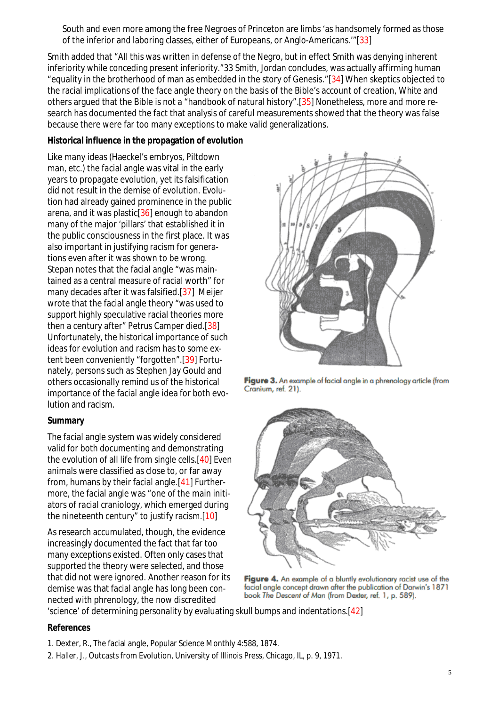South and even more among the free Negroes of Princeton are limbs 'as handsomely formed as those of the inferior and laboring classes, either of Europeans, or Anglo-Americans.'"[33]

Smith added that "All this was written in defense of the Negro, but in effect Smith was denying inherent inferiority while conceding present inferiority."33 Smith, Jordan concludes, was actually affirming human "equality in the brotherhood of man as embedded in the story of Genesis."[34] When skeptics objected to the racial implications of the face angle theory on the basis of the Bible's account of creation, White and others argued that the Bible is not a "handbook of natural history".[35] Nonetheless, more and more research has documented the fact that analysis of careful measurements showed that the theory was false because there were far too many exceptions to make valid generalizations.

#### **Historical influence in the propagation of evolution**

Like many ideas (Haeckel's embryos, Piltdown man, etc.) the facial angle was vital in the early years to propagate evolution, yet its falsification did not result in the demise of evolution. Evolution had already gained prominence in the public arena, and it was plastic<sup>[36]</sup> enough to abandon many of the major 'pillars' that established it in the public consciousness in the first place. It was also important in justifying racism for generations even after it was shown to be wrong. Stepan notes that the facial angle "was maintained as a central measure of racial worth" for many decades after it was falsified.[37] Meijer wrote that the facial angle theory "was used to support highly speculative racial theories more then a century after" Petrus Camper died.[38] Unfortunately, the historical importance of such ideas for evolution and racism has to some extent been conveniently "forgotten".[39] Fortunately, persons such as Stephen Jay Gould and others occasionally remind us of the historical importance of the facial angle idea for both evolution and racism.

## **Summary**

The facial angle system was widely considered valid for both documenting and demonstrating the evolution of all life from single cells.[40] Even animals were classified as close to, or far away from, humans by their facial angle.[41] Furthermore, the facial angle was "one of the main initiators of racial craniology, which emerged during the nineteenth century" to justify racism.[10]

As research accumulated, though, the evidence increasingly documented the fact that far too many exceptions existed. Often only cases that supported the theory were selected, and those that did not were ignored. Another reason for its demise was that facial angle has long been connected with phrenology, the now discredited



Figure 3. An example of facial angle in a phrenology article (from Cranium, ref. 21).



Figure 4. An example of a bluntly evolutionary racist use of the facial angle concept drawn after the publication of Darwin's 1871 book The Descent of Man (from Dexter, ref. 1, p. 589).

'science' of determining personality by evaluating skull bumps and indentations.[42]

#### **References**

- 1. Dexter, R., The facial angle, Popular Science Monthly 4:588, 1874.
- 2. Haller, J., Outcasts from Evolution, University of Illinois Press, Chicago, IL, p. 9, 1971.